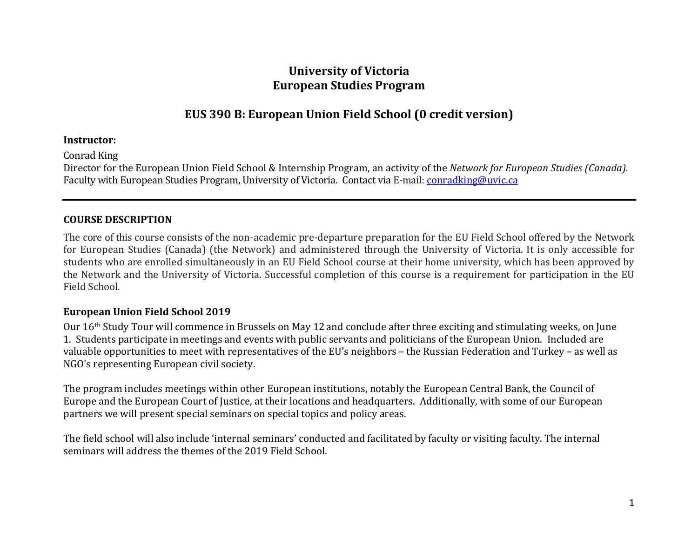# **University of Victoria European Studies Program**

# **EUS 390 B: European Union Field School (0 credit version)**

### **Instructor:**

Conrad King

Director for the European Union Field School & Internship Program, an activity of the *Network for European Studies (Canada).* Faculty with European Studies Program, University of Victoria. Contact via E-mail: [conradking@uvic.ca](mailto:conradking@uvic.ca)

## **COURSE DESCRIPTION**

The core of this course consists of the non-academic pre-departure preparation for the EU Field School offered by the Network for European Studies (Canada) (the Network) and administered through the University of Victoria. It is only accessible for students who are enrolled simultaneously in an EU Field School course at their home university, which has been approved by the Network and the University of Victoria. Successful completion of this course is a requirement for participation in the EU Field School.

## **European Union Field School 2019**

Our 16th Study Tour will commence in Brussels on May 12 and conclude after three exciting and stimulating weeks, on June 1. Students participate in meetings and events with public servants and politicians of the European Union. Included are valuable opportunities to meet with representatives of the EU's neighbors – the Russian Federation and Turkey – as well as NGO's representing European civil society.

The program includes meetings within other European institutions, notably the European Central Bank, the Council of Europe and the European Court of Justice, at their locations and headquarters. Additionally, with some of our European partners we will present special seminars on special topics and policy areas.

The field school will also include 'internal seminars' conducted and facilitated by faculty or visiting faculty. The internal seminars will address the themes of the 2019 Field School.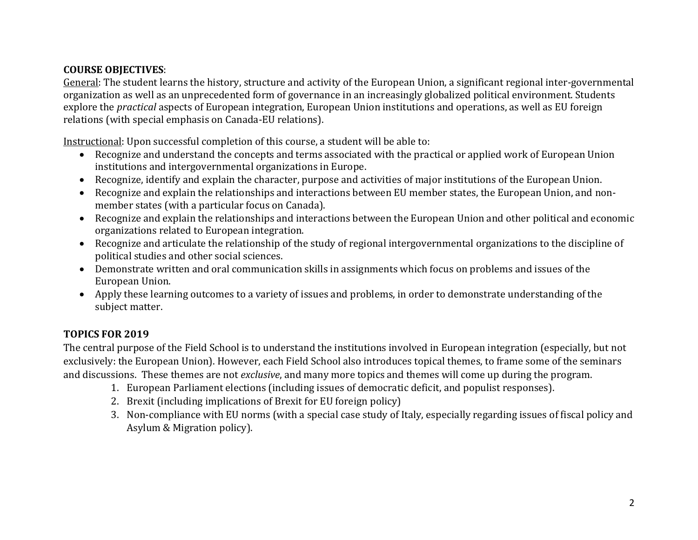# **COURSE OBJECTIVES**:

General: The student learns the history, structure and activity of the European Union, a significant regional inter-governmental organization as well as an unprecedented form of governance in an increasingly globalized political environment. Students explore the *practical* aspects of European integration, European Union institutions and operations, as well as EU foreign relations (with special emphasis on Canada-EU relations).

Instructional: Upon successful completion of this course, a student will be able to:

- Recognize and understand the concepts and terms associated with the practical or applied work of European Union institutions and intergovernmental organizations in Europe.
- Recognize, identify and explain the character, purpose and activities of major institutions of the European Union.
- Recognize and explain the relationships and interactions between EU member states, the European Union, and nonmember states (with a particular focus on Canada).
- Recognize and explain the relationships and interactions between the European Union and other political and economic organizations related to European integration.
- Recognize and articulate the relationship of the study of regional intergovernmental organizations to the discipline of political studies and other social sciences.
- Demonstrate written and oral communication skills in assignments which focus on problems and issues of the European Union.
- Apply these learning outcomes to a variety of issues and problems, in order to demonstrate understanding of the subject matter.

# **TOPICS FOR 2019**

The central purpose of the Field School is to understand the institutions involved in European integration (especially, but not exclusively: the European Union). However, each Field School also introduces topical themes, to frame some of the seminars and discussions. These themes are not *exclusive*, and many more topics and themes will come up during the program.

- 1. European Parliament elections (including issues of democratic deficit, and populist responses).
- 2. Brexit (including implications of Brexit for EU foreign policy)
- 3. Non-compliance with EU norms (with a special case study of Italy, especially regarding issues of fiscal policy and Asylum & Migration policy).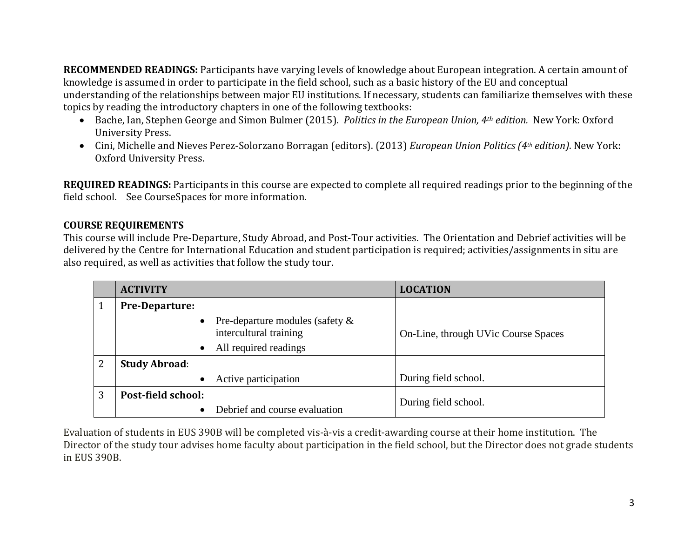**RECOMMENDED READINGS:** Participants have varying levels of knowledge about European integration. A certain amount of knowledge is assumed in order to participate in the field school, such as a basic history of the EU and conceptual understanding of the relationships between major EU institutions. If necessary, students can familiarize themselves with these topics by reading the introductory chapters in one of the following textbooks:

- [Bache,](http://www.amazon.com/Ian-Bache/e/B001H6MYUU/ref=dp_byline_cont_book_1) Ian, [Stephen George](http://www.amazon.com/Stephen-George/e/B001HOELLM/ref=dp_byline_cont_book_2) and [Simon Bulmer](http://www.amazon.com/s/ref=dp_byline_sr_book_3?ie=UTF8&field-author=Simon+Bulmer&search-alias=books&text=Simon+Bulmer&sort=relevancerank) (2015). *Politics in the European Union, 4th edition.* New York: Oxford University Press.
- Cini, Michelle and Nieves Perez-Solorzano Borragan (editors). (2013) *European Union Politics (4th edition)*. New York: Oxford University Press.

**REQUIRED READINGS:** Participants in this course are expected to complete all required readings prior to the beginning of the field school. See CourseSpaces for more information.

# **COURSE REQUIREMENTS**

This course will include Pre-Departure, Study Abroad, and Post-Tour activities. The Orientation and Debrief activities will be delivered by the Centre for International Education and student participation is required; activities/assignments in situ are also required, as well as activities that follow the study tour.

|   | <b>ACTIVITY</b>       |                                                                                       | <b>LOCATION</b>                     |
|---|-----------------------|---------------------------------------------------------------------------------------|-------------------------------------|
|   | <b>Pre-Departure:</b> |                                                                                       |                                     |
|   | $\bullet$             | Pre-departure modules (safety $\&$<br>intercultural training<br>All required readings | On-Line, through UVic Course Spaces |
|   | <b>Study Abroad:</b>  |                                                                                       |                                     |
|   |                       | Active participation                                                                  | During field school.                |
| 3 | Post-field school:    |                                                                                       | During field school.                |
|   |                       | Debrief and course evaluation                                                         |                                     |

Evaluation of students in EUS 390B will be completed vis-à-vis a credit-awarding course at their home institution. The Director of the study tour advises home faculty about participation in the field school, but the Director does not grade students in EUS 390B.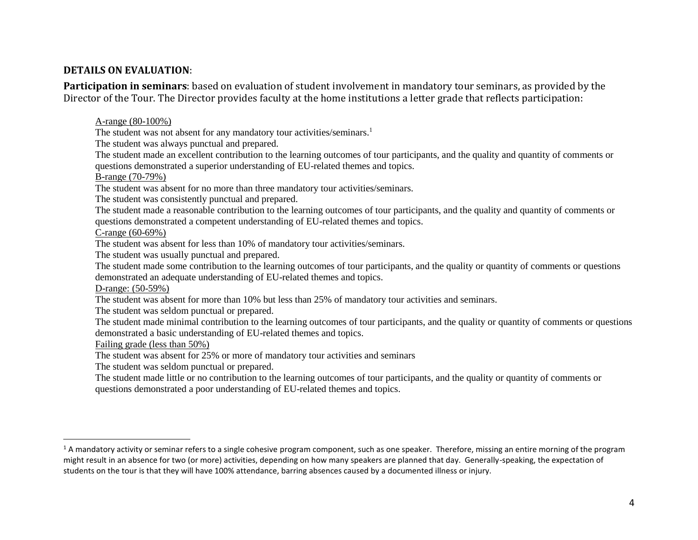### **DETAILS ON EVALUATION**:

**Participation in seminars**: based on evaluation of student involvement in mandatory tour seminars, as provided by the Director of the Tour. The Director provides faculty at the home institutions a letter grade that reflects participation:

A-range (80-100%)

The student was not absent for any mandatory tour activities/seminars.<sup>1</sup>

The student was always punctual and prepared.

The student made an excellent contribution to the learning outcomes of tour participants, and the quality and quantity of comments or questions demonstrated a superior understanding of EU-related themes and topics.

B-range (70-79%)

The student was absent for no more than three mandatory tour activities/seminars.

The student was consistently punctual and prepared.

The student made a reasonable contribution to the learning outcomes of tour participants, and the quality and quantity of comments or questions demonstrated a competent understanding of EU-related themes and topics.

C-range (60-69%)

The student was absent for less than 10% of mandatory tour activities/seminars.

The student was usually punctual and prepared.

The student made some contribution to the learning outcomes of tour participants, and the quality or quantity of comments or questions demonstrated an adequate understanding of EU-related themes and topics.

D-range: (50-59%)

 $\overline{a}$ 

The student was absent for more than 10% but less than 25% of mandatory tour activities and seminars.

The student was seldom punctual or prepared.

The student made minimal contribution to the learning outcomes of tour participants, and the quality or quantity of comments or questions demonstrated a basic understanding of EU-related themes and topics.

Failing grade (less than 50%)

The student was absent for 25% or more of mandatory tour activities and seminars

The student was seldom punctual or prepared.

The student made little or no contribution to the learning outcomes of tour participants, and the quality or quantity of comments or questions demonstrated a poor understanding of EU-related themes and topics.

 $1$  A mandatory activity or seminar refers to a single cohesive program component, such as one speaker. Therefore, missing an entire morning of the program might result in an absence for two (or more) activities, depending on how many speakers are planned that day. Generally-speaking, the expectation of students on the tour is that they will have 100% attendance, barring absences caused by a documented illness or injury.